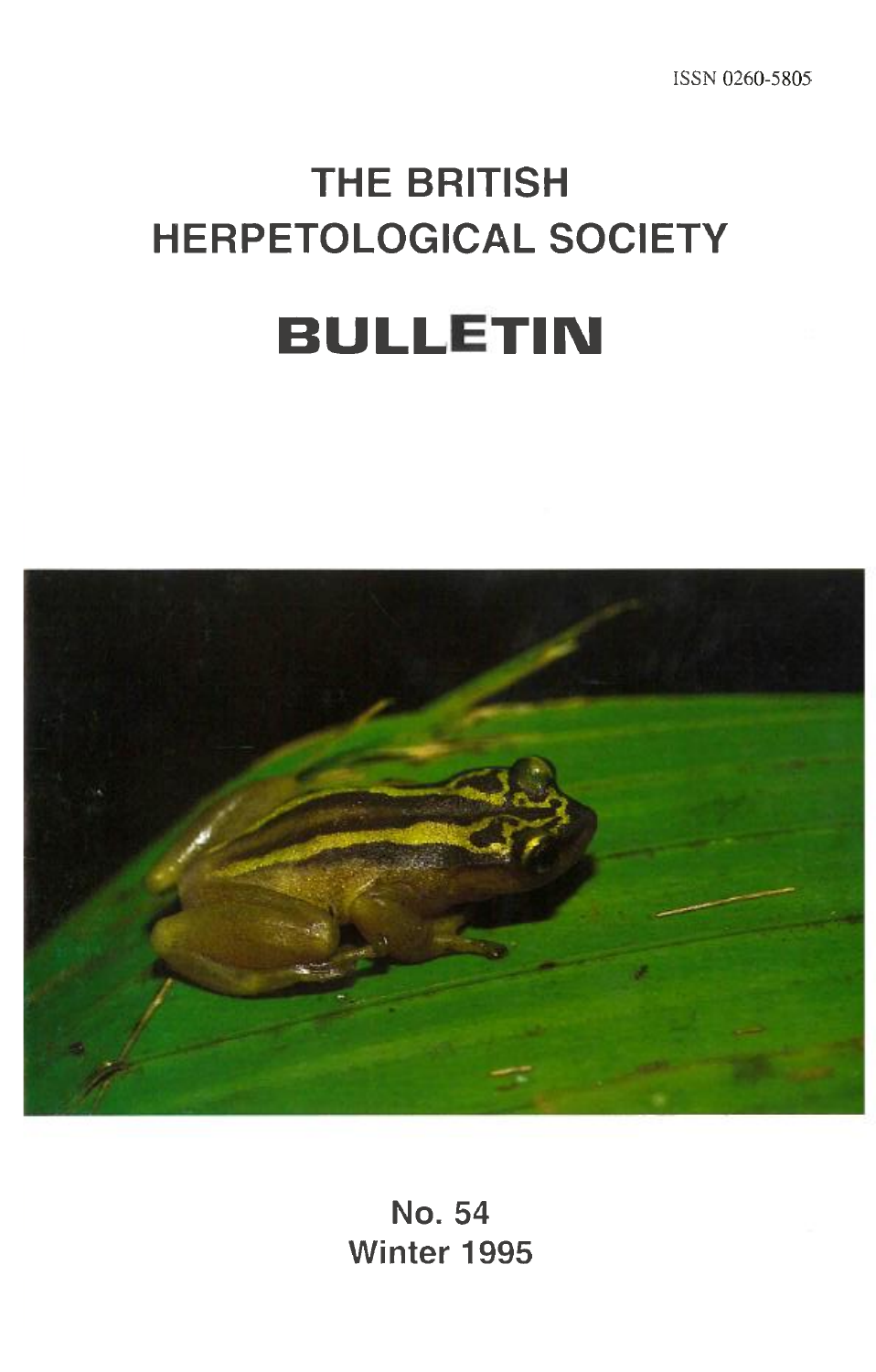# **THE BRITISH HERPETOLOGICAL SOCIETY BULLETIN**



**No. 54 Winter 1995**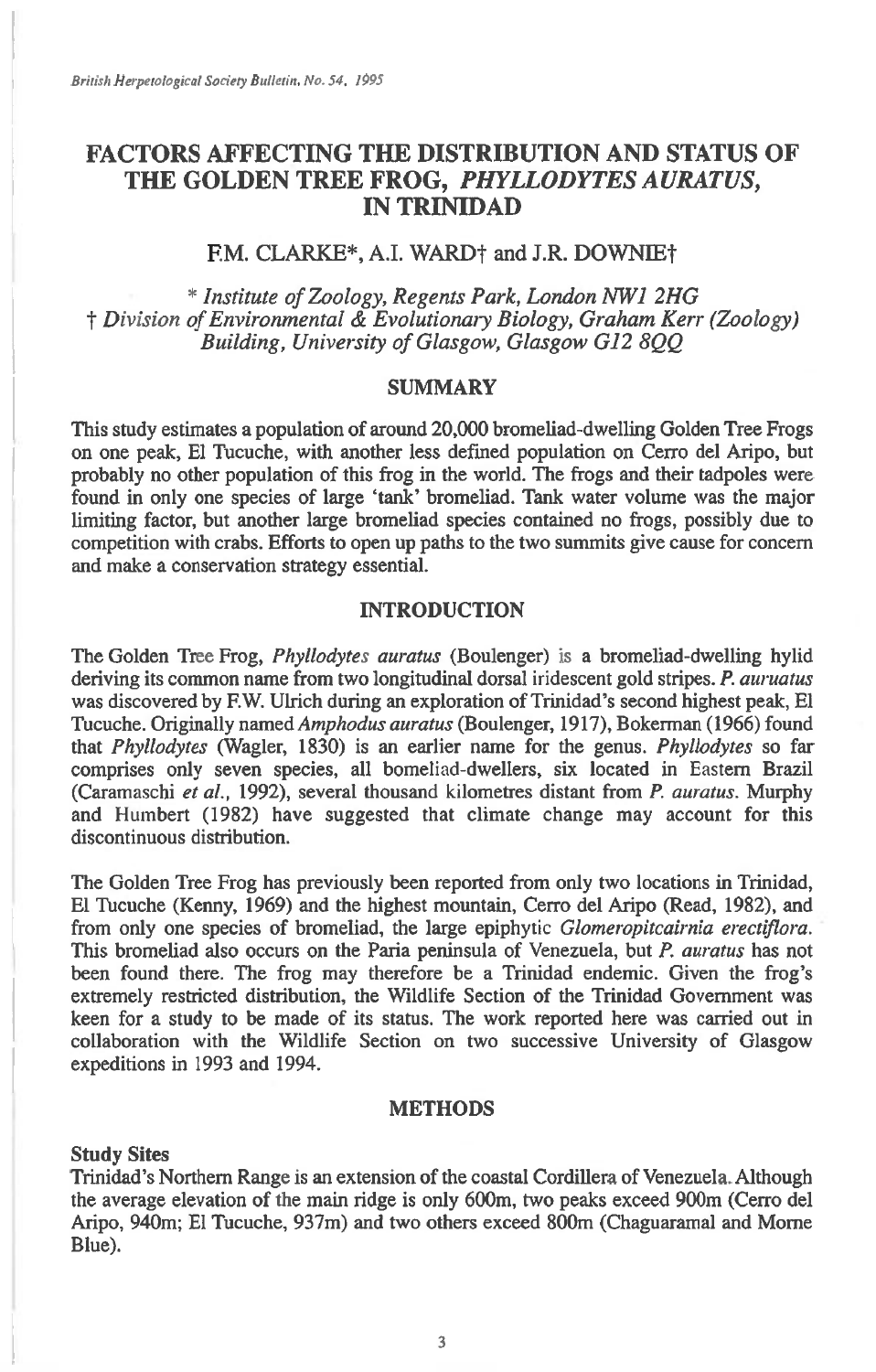## **FACTORS AFFECTING THE DISTRIBUTION AND STATUS OF THE GOLDEN TREE FROG,** *PHYLLODYTES AURATUS,*  **IN TRINIDAD**

## F.M. CLARKE\*, A.I. WARD<sup>†</sup> and J.R. DOWNIE<sup>†</sup>

*\* Institute of Zoology, Regents Park, London IVW1 2HG*  **t** *Division of Environmental & Evolutionary Biology, Graham Kerr (Zoology) Building, University of Glasgow, Glasgow G12 8QQ* 

## SUMMARY

This study estimates a population of around 20,000 bromeliad-dwelling Golden Tree Frogs on one peak, El Tucuche, with another less defined population on Cerro del Aripo, but probably no other population of this frog in the world. The frogs and their tadpoles were found in only one species of large 'tank' bromeliad. Tank water volume was the major limiting factor, but another large bromeliad species contained no frogs, possibly due to competition with crabs. Efforts to open up paths to the two summits give cause for concern and make a conservation strategy essential.

## INTRODUCTION

The Golden Tree Frog, *Phyllodytes auratus* (Boulenger) 'is a bromeliad-dwelling hylid deriving its common name from two longitudinal dorsal iridescent gold stripes. *P. auruatus*  was discovered by F.W. Ulrich during an exploration of Trinidad's second highest peak, El Tucuche. Originally *named Amphodus auratus* (Boulenger, 1917), Bokerman (1966) found that *Phyllodytes* (Wagler, 1830) is an earlier name for the genus. *Phyllodytes* so far comprises only seven species, all bomeliad-dwellers, six located in Eastern Brazil (Caramaschi *et al.,* 1992), several thousand kilometres distant from *P. auratus.* Murphy and Humbert (1982) have suggested that climate change may account for this discontinuous distribution.

The Golden Tree Frog has previously been reported from only two locations in Trinidad, El Tucuche (Kenny, 1969) and the highest mountain, Cerro del Aripo (Read, 1982), and from only one species of bromeliad, the large epiphytic *Glomeropitcairnia erectiflora.*  This bromeliad also occurs on the Paria peninsula of Venezuela, but *P. auratus* has not been found there. The frog may therefore be a Trinidad endemic. Given the frog's extremely restricted distribution, the Wildlife Section of the Trinidad Government was keen for a study to be made of its status. The work reported here was carried out in collaboration with the Wildlife Section on two successive University of Glasgow expeditions in 1993 and 1994.

## METHODS

#### **Study Sites**

Trinidad's Northern Range is an extension of the coastal Cordillera of Venezuela. Although the average elevation of the main ridge is only 600m, two peaks exceed 900m (Cerro del Aripo, 940m; El Tucuche, 937m) and two others exceed 800m (Chaguaramal and Morne Blue).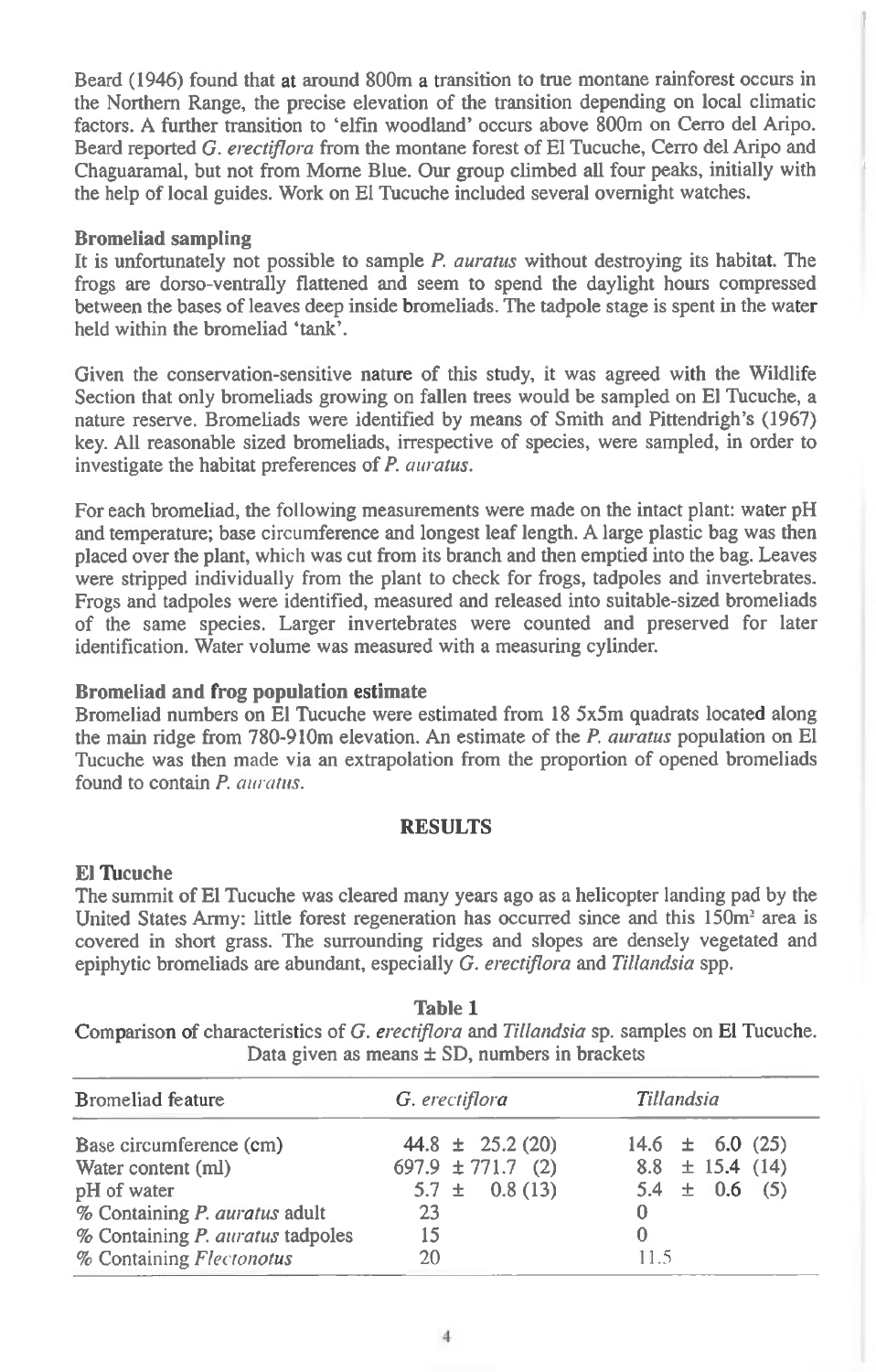Beard (1946) found that at around 800m a transition to true montane rainforest occurs in the Northern Range, the precise elevation of the transition depending on local climatic factors. A further transition to 'elfin woodland' occurs above 800m on Cerro del Aripo. Beard reported *G. erectiflora* from the montane forest of El Tucuche, Cerro del Aripo and Chaguaramal, but not from Morne Blue. Our group climbed all four peaks, initially with the help of local guides. Work on El Tucuche included several overnight watches.

### **Bromeliad sampling**

It is unfortunately not possible to sample *P. auratus* without destroying its habitat. The frogs are dorso-ventrally flattened and seem to spend the daylight hours compressed between the bases of leaves deep inside bromeliads. The tadpole stage is spent in the water held within the bromeliad 'tank'.

Given the conservation-sensitive nature of this study, it was agreed with the Wildlife Section that only bromeliads growing on fallen trees would be sampled on El Tucuche, a nature reserve. Bromeliads were identified by means of Smith and Pittendrigh's (1967) key. All reasonable sized bromeliads, irrespective of species, were sampled, in order to investigate the habitat preferences of *P. auratus.* 

For each bromeliad, the following measurements were made on the intact plant: water pH and temperature; base circumference and longest leaf length. A large plastic bag was then placed over the plant, which was cut from its branch and then emptied into the bag. Leaves were stripped individually from the plant to check for frogs, tadpoles and invertebrates. Frogs and tadpoles were identified, measured and released into suitable-sized bromeliads of the same species. Larger invertebrates were counted and preserved for later identification. Water volume was measured with a measuring cylinder.

## **Bromeliad and frog population estimate**

Bromeliad numbers on El Tucuche were estimated from 18 5x5m quadrats located along the main ridge from 780-910m elevation. An estimate of the *P. auratus* population on El Tucuche was then made via an extrapolation from the proportion of opened bromeliads found to contain *P. auratus.* 

### **RESULTS**

#### **El Tucuche**

The summit of El Tucuche was cleared many years ago as a helicopter landing pad by the United States Army: little forest regeneration has occurred since and this 150m<sup>2</sup> area is covered in short grass. The surrounding ridges and slopes are densely vegetated and epiphytic bromeliads are abundant, especially *G. erectiflora* and *Tillandsia* spp.

| <b>Table 1</b>                                                                            |
|-------------------------------------------------------------------------------------------|
| Comparison of characteristics of G. erectiflora and Tillandsia sp. samples on El Tucuche. |
| Data given as means $\pm$ SD, numbers in brackets                                         |

| G. erectiflora        | Tillandsia          |  |  |
|-----------------------|---------------------|--|--|
| 44.8 $\pm$ 25.2 (20)  | $14.6 \pm 6.0 (25)$ |  |  |
| $697.9 \pm 771.7$ (2) | $8.8 \pm 15.4$ (14) |  |  |
| $5.7 \pm 0.8(13)$     | $5.4 \pm 0.6$ (5)   |  |  |
| 23                    |                     |  |  |
| 15                    |                     |  |  |
| 20                    | 11.5                |  |  |
|                       |                     |  |  |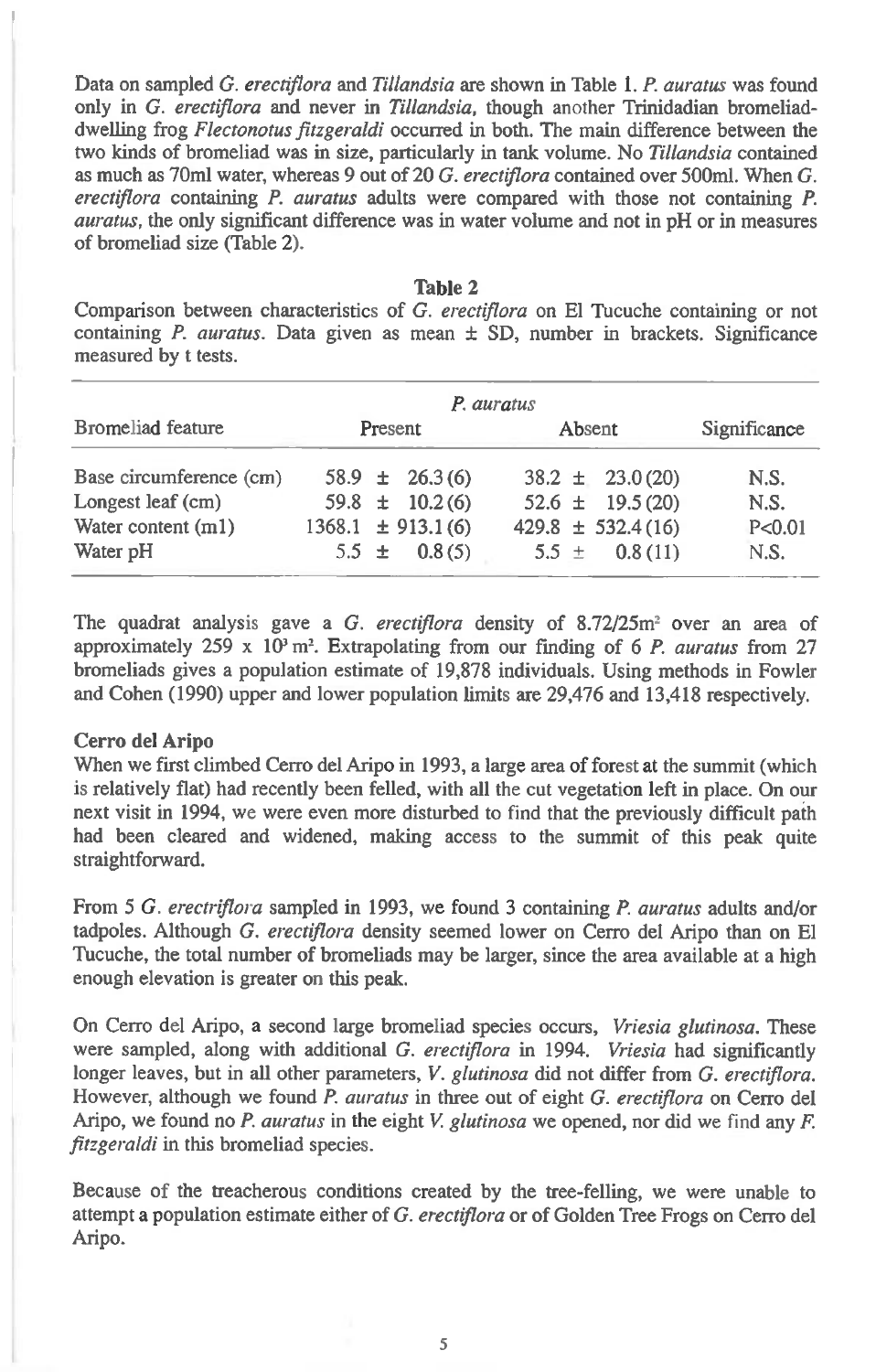Data on sampled *G. erectiflora* and *Tillandsia* are shown in Table 1. *P. auratus* was found only in *G. erectiflora* and never in *Tillandsia,* though another Trinidadian bromeliaddwelling frog *Flectonotus fitzgeraldi* occurred in both. The main difference between the two kinds of bromeliad was in size, particularly in tank volume. No *Tillandsia* contained as much as 70m1 water, whereas 9 out of 20 *G. erectiflora* contained over 500m1. When *G. erectiflora* containing *P. auratus* adults were compared with those not containing *P. auratus,* the only significant difference was in water volume and not in pH or in measures of bromeliad size (Table 2).

Table 2

Comparison between characteristics of *G. erectiflora* on El Tucuche containing or not containing *P. auratus.* Data given as mean ± SD, number in brackets. Significance measured by t tests.

|                         | P. auratus        |  |                       |              |                       |          |
|-------------------------|-------------------|--|-----------------------|--------------|-----------------------|----------|
| Bromeliad feature       | Present<br>Absent |  |                       | Significance |                       |          |
| Base circumference (cm) |                   |  | $58.9 \pm 26.3(6)$    |              | $38.2 \pm 23.0(20)$   | N.S.     |
| Longest leaf (cm)       |                   |  | 59.8 $\pm$ 10.2(6)    |              | $52.6 \pm 19.5(20)$   | N.S.     |
| Water content $(m1)$    |                   |  | $1368.1 \pm 913.1(6)$ |              | $429.8 \pm 532.4(16)$ | P < 0.01 |
| Water pH                |                   |  | 5.5 $\pm$ 0.8(5)      | $5.5 \pm$    | 0.8(11)               | N.S.     |

The quadrat analysis gave a G. erectiflora density of 8.72/25m<sup>2</sup> over an area of approximately  $259 \times 10^{3}$  m<sup>2</sup>. Extrapolating from our finding of 6 *P. auratus* from 27 bromeliads gives a population estimate of 19,878 individuals. Using methods in Fowler and Cohen (1990) upper and lower population limits are 29,476 and 13,418 respectively.

### Cerro del Aripo

When we first climbed Cerro del Aripo in 1993, a large area of forest at the summit (which is relatively flat) had recently been felled, with all the cut vegetation left in place. On our next visit in 1994, we were even more disturbed to find that the previously difficult path had been cleared and widened, making access to the summit of this peak quite straightforward.

From 5 *G. erectriflora* sampled in 1993, we found 3 containing *P. auratus* adults and/or tadpoles. Although *G. erectiflora* density seemed lower on Cerro del Aripo than on El Tucuche, the total number of bromeliads may be larger, since the area available at a high enough elevation is greater on this peak.

On Cerro del Aripo, a second large bromeliad species occurs, *Vriesia glutinosa.* These were sampled, along with additional *G. erectiflora* in 1994. *Vriesia* had significantly longer leaves, but in all other parameters, *V. glutinosa* did not differ from *G. erectiflora.*  However, although we found *P. auratus* in three out of eight *G. erectiflora* on Cerro del Aripo, we found no *P. auratus* in the eight V. *glutinosa* we opened, nor did we find any *F. fitzgeraldi* in this bromeliad species.

Because of the treacherous conditions created by the tree-felling, we were unable to attempt a population estimate either of *G. erectiflora* or of Golden Tree Frogs on Cerro del Aripo.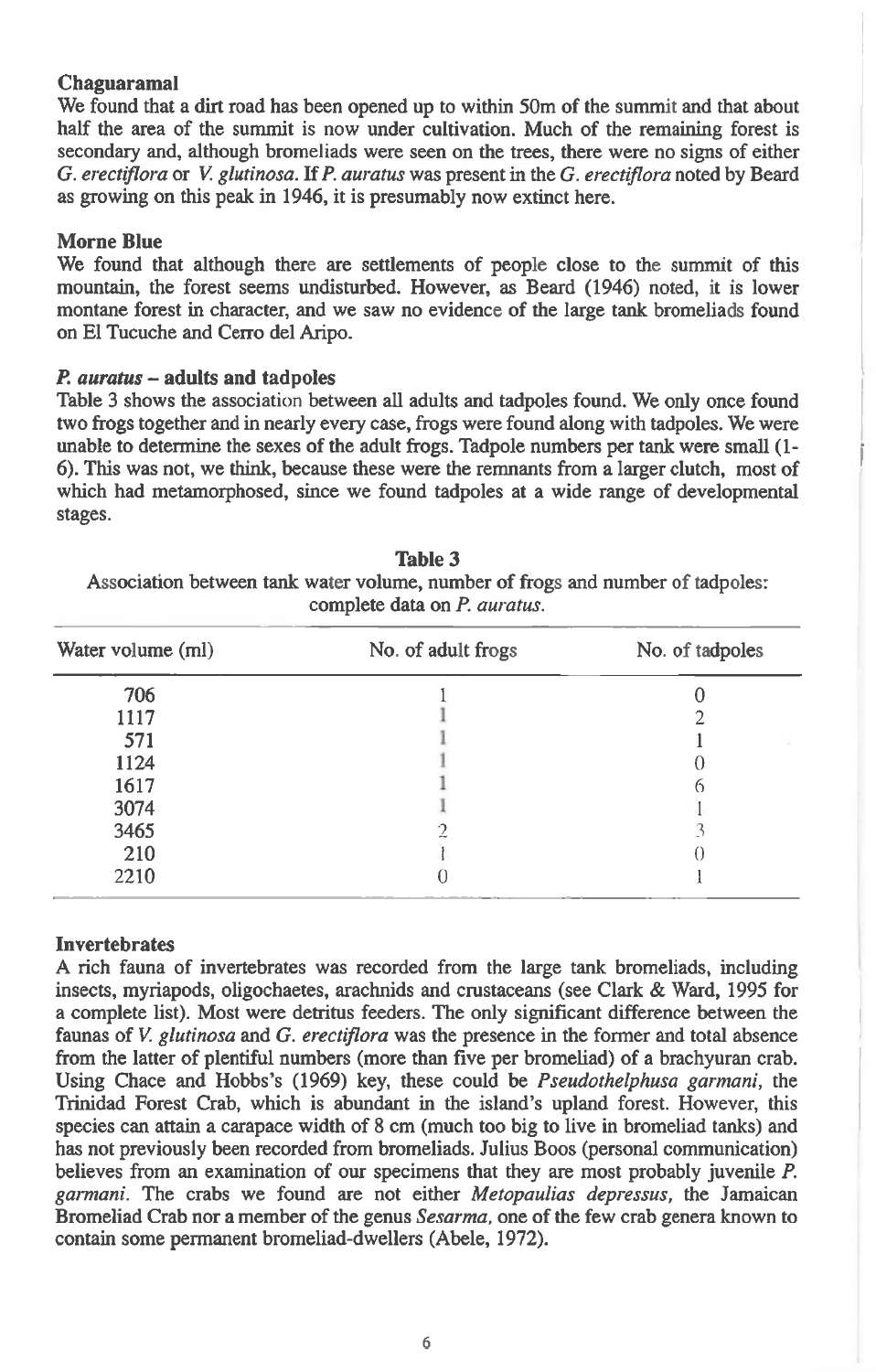## **Chaguaramal**

We found that a dirt road has been opened up to within 50m of the summit and that about half the area of the summit is now under cultivation. Much of the remaining forest is secondary and, although bromeliads were seen on the trees, there were no signs of either *G. erectiflora* or *V. glutinosa.* If *P. auratus* was present in the *G. erectiflora* noted by Beard as growing on this peak in 1946, it is presumably now extinct here.

## **Morne Blue**

We found that although there are settlements of people close to the summit of this mountain, the forest seems undisturbed. However, as Beard (1946) noted, it is lower montane forest in character, and we saw no evidence of the large tank bromeliads found on El Tucuche and Cerro del Aripo.

#### *P. auratus —* **adults and tadpoles**

Table 3 shows the association between all adults and tadpoles found. We only once found two frogs together and in nearly every case, frogs were found along with tadpoles. We were unable to determine the sexes of the adult frogs. Tadpole numbers per tank were small (1- 6). This was not, we think, because these were the remnants from a larger clutch, most of which had metamorphosed, since we found tadpoles at a wide range of developmental stages.

| Water volume (ml) | No. of adult frogs | No. of tadpoles |  |  |
|-------------------|--------------------|-----------------|--|--|
| 706               |                    |                 |  |  |
| 1117              |                    |                 |  |  |
| 571               |                    |                 |  |  |
| 1124              |                    |                 |  |  |
| 1617              |                    |                 |  |  |
| 3074              |                    |                 |  |  |
| 3465              |                    |                 |  |  |
| 210               |                    |                 |  |  |
| 2210              |                    |                 |  |  |

**Table** 3 Association between tank water volume, number of frogs and number of tadpoles: complete data on *P. auratus.* 

### **Invertebrates**

A rich fauna of invertebrates was recorded from the large tank bromeliads, including insects, myriapods, oligochaetes, arachnids and crustaceans (see Clark & Ward, 1995 for a complete list). Most were detritus feeders. The only significant difference between the faunas of *V. glutinosa* and *G. erectiflora* was the presence in the former and total absence from the latter of plentiful numbers (more than five per bromeliad) of a brachyuran crab. Using Chace and Hobbs's (1969) key, these could be *Pseudothelphusa garmani,* the Trinidad Forest Crab, which is abundant in the island's upland forest. However, this species can attain a carapace width of 8 cm (much too big to live in bromeliad tanks) and has not previously been recorded from bromeliads. Julius Boos (personal communication) believes from an examination of our specimens that they are most probably juvenile *P. garmani.* The crabs we found are not either *Metopaulias depressus, the* Jamaican Bromeliad Crab nor a member of the genus *Sesarma,* one of the few crab genera known to contain some permanent bromeliad-dwellers (Abele, 1972).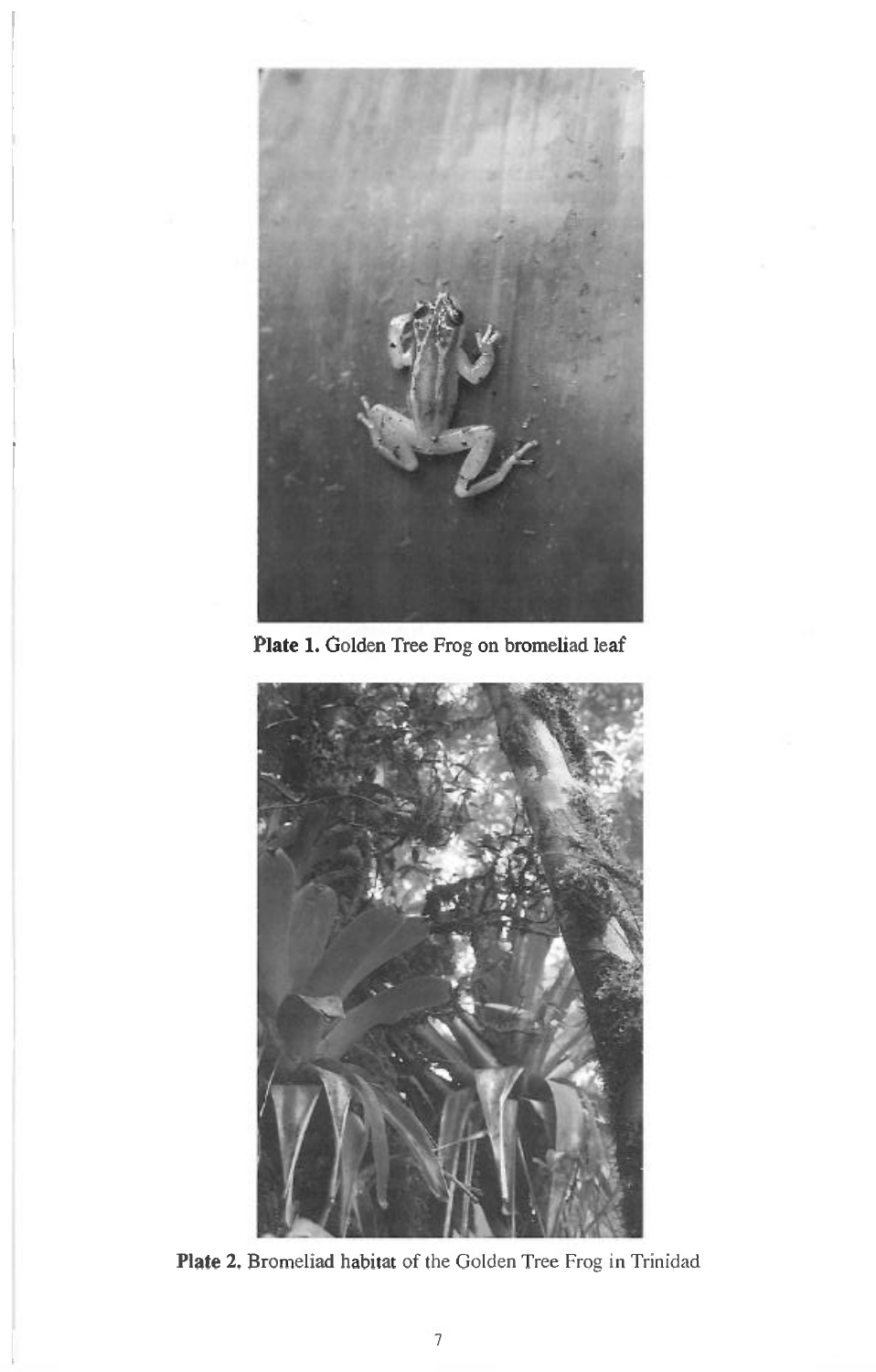

**Plate 1.** Golden Tree Frog on bromeliad leaf



**Plate** 2. Bromeliad habitat of the Golden Tree Frog in Trinidad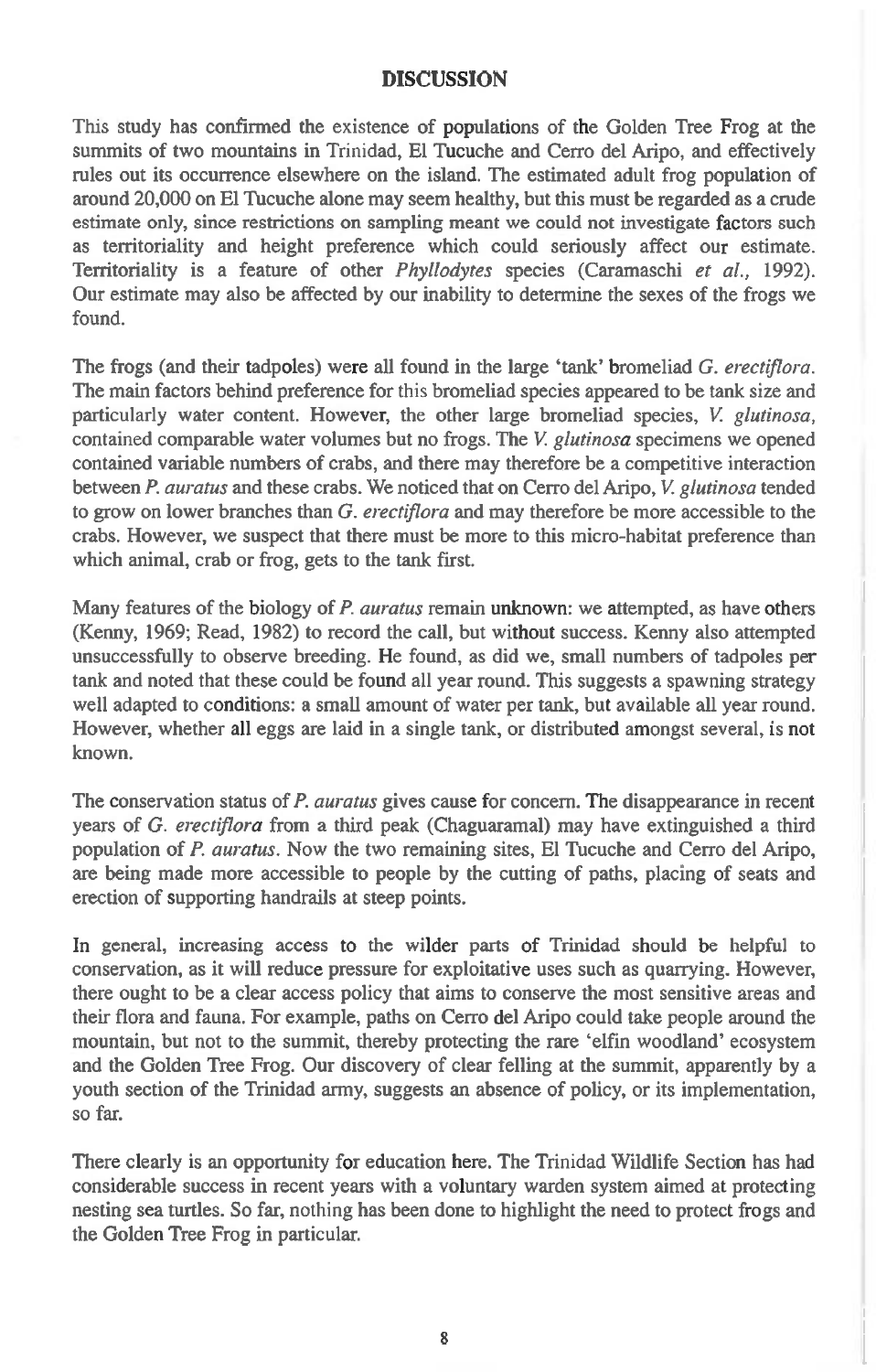## **DISCUSSION**

This study has confirmed the existence of populations of the Golden Tree Frog at the summits of two mountains in Trinidad, El Tucuche and Cerro del Aripo, and effectively rules out its occurrence elsewhere on the island. The estimated adult frog population of around 20,000 on El Tucuche alone may seem healthy, but this must be regarded as a crude estimate only, since restrictions on sampling meant we could not investigate factors such as territoriality and height preference which could seriously affect our estimate. Territoriality is a feature of other *Phyllodytes* species (Caramaschi *et al.,* 1992). Our estimate may also be affected by our inability to determine the sexes of the frogs we found.

The frogs (and their tadpoles) were all found in the large 'tank' bromeliad *G. erectiflora.*  The main factors behind preference for this bromeliad species appeared to be tank size and particularly water content. However, the other large bromeliad species, *V. glutinosa,*  contained comparable water volumes but no frogs. The *V. glutinosa* specimens we opened contained variable numbers of crabs, and there may therefore be a competitive interaction between *P. auratus* and these crabs. We noticed that on Cerro del Aripo, *V. glutinosa* tended to grow on lower branches than *G. erectiflora* and may therefore be more accessible to the crabs. However, we suspect that there must be more to this micro-habitat preference than which animal, crab or frog, gets to the tank first.

Many features of the biology of *P. auratus* remain unknown: we attempted, as have others (Kenny, 1969; Read, 1982) to record the call, but without success. Kenny also attempted unsuccessfully to observe breeding. He found, as did we, small numbers of tadpoles per tank and noted that these could be found all year round. This suggests a spawning strategy well adapted to conditions: a small amount of water per tank, but available all year round. However, whether all eggs are laid in a single tank, or distributed amongst several, is not known.

The conservation status of *P. auratus* gives cause for concern. The disappearance in recent years of *G. erectiflora* from a third peak (Chaguaramal) may have extinguished a third population of *P. auratus.* Now the two remaining sites, El Tucuche and Cerro del Aripo, are being made more accessible to people by the cutting of paths, placing of seats and erection of supporting handrails at steep points.

In general, increasing access to the wilder parts of Trinidad should be helpful to conservation, as it will reduce pressure for exploitative uses such as quarrying. However, there ought to be a clear access policy that aims to conserve the most sensitive areas and their flora and fauna. For example, paths on Cerro del Aripo could take people around the mountain, but not to the summit, thereby protecting the rare 'elfin woodland' ecosystem and the Golden Tree Frog. Our discovery of clear felling at the summit, apparently by a youth section of the Trinidad army, suggests an absence of policy, or its implementation, so far.

There clearly is an opportunity for education here. The Trinidad Wildlife Section has had considerable success in recent years with a voluntary warden system aimed at protecting nesting sea turtles. So far, nothing has been done to highlight the need to protect frogs and the Golden Tree Frog in particular.